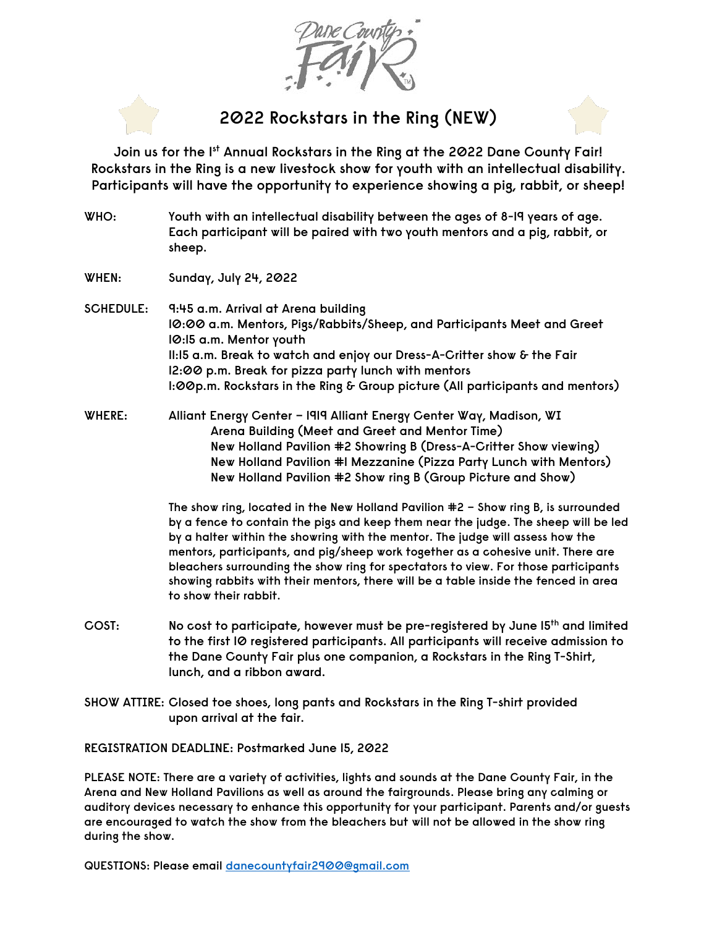## **2022 Rockstars in the Ring (NEW)**

**Join us for the 1st Annual Rockstars in the Ring at the 2022 Dane County Fair! Rockstars in the Ring is a new livestock show for youth with an intellectual disability. Participants will have the opportunity to experience showing a pig, rabbit, or sheep!**

- **WHO: Youth with an intellectual disability between the ages of 8-19 years of age. Each participant will be paired with two youth mentors and a pig, rabbit, or sheep.**
- **WHEN: Sunday, July 24, 2022**
- **SCHEDULE: 9:45 a.m. Arrival at Arena building 10:00 a.m. Mentors, Pigs/Rabbits/Sheep, and Participants Meet and Greet 10:15 a.m. Mentor youth 11:15 a.m. Break to watch and enjoy our Dress-A-Critter show & the Fair 12:00 p.m. Break for pizza party lunch with mentors 1:00p.m. Rockstars in the Ring & Group picture (All participants and mentors)**
- **WHERE: Alliant Energy Center – 1919 Alliant Energy Center Way, Madison, WI Arena Building (Meet and Greet and Mentor Time) New Holland Pavilion #2 Showring B (Dress-A-Critter Show viewing) New Holland Pavilion #1 Mezzanine (Pizza Party Lunch with Mentors) New Holland Pavilion #2 Show ring B (Group Picture and Show)**

**The show ring, located in the New Holland Pavilion #2 – Show ring B, is surrounded by a fence to contain the pigs and keep them near the judge. The sheep will be led by a halter within the showring with the mentor. The judge will assess how the mentors, participants, and pig/sheep work together as a cohesive unit. There are bleachers surrounding the show ring for spectators to view. For those participants showing rabbits with their mentors, there will be a table inside the fenced in area to show their rabbit.**

- **COST: No cost to participate, however must be pre-registered by June 15th and limited to the first 10 registered participants. All participants will receive admission to the Dane County Fair plus one companion, a Rockstars in the Ring T-Shirt, lunch, and a ribbon award.**
- **SHOW ATTIRE: Closed toe shoes, long pants and Rockstars in the Ring T-shirt provided upon arrival at the fair.**

**REGISTRATION DEADLINE: Postmarked June 15, 2022**

**PLEASE NOTE: There are a variety of activities, lights and sounds at the Dane County Fair, in the Arena and New Holland Pavilions as well as around the fairgrounds. Please bring any calming or auditory devices necessary to enhance this opportunity for your participant. Parents and/or guests are encouraged to watch the show from the bleachers but will not be allowed in the show ring during the show.** 

**QUESTIONS: Please email [danecountyfair2900@gmail.com](mailto:danecountyfair2900@gmail.com)**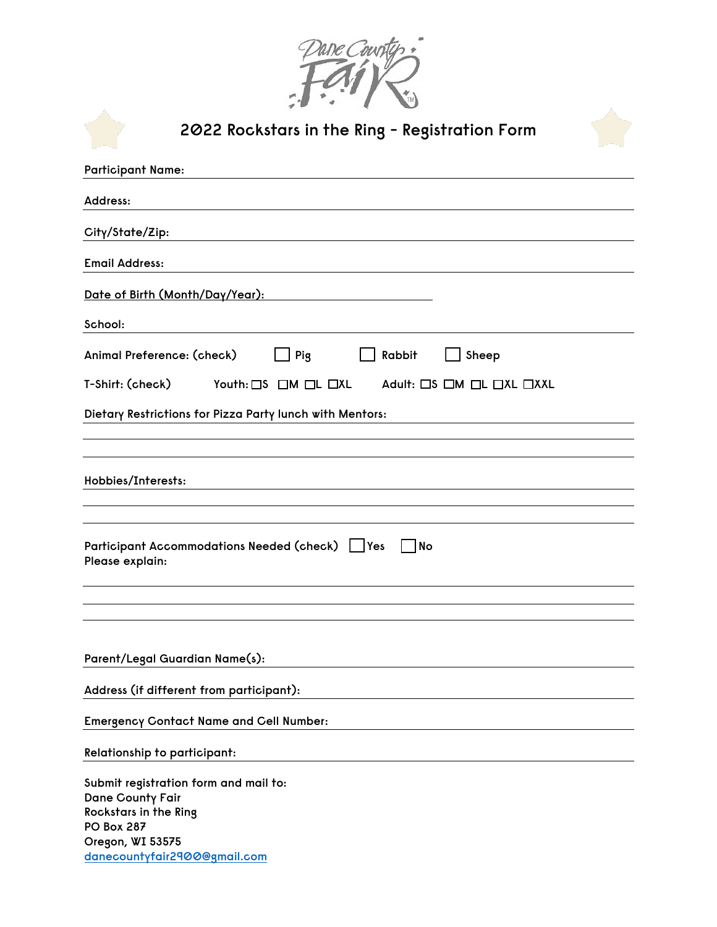

| 2022 Rockstars in the Ring - Registration Form                                                                                                                     |
|--------------------------------------------------------------------------------------------------------------------------------------------------------------------|
| <b>Participant Name:</b>                                                                                                                                           |
| Address:                                                                                                                                                           |
| City/State/Zip:                                                                                                                                                    |
| <b>Email Address:</b>                                                                                                                                              |
| <u>Date of Birth (Month/Day/Year):</u>                                                                                                                             |
| School:                                                                                                                                                            |
| Animal Preference: (check)<br>Pig<br>Rabbit<br>Sheep                                                                                                               |
| T-Shirt: (check)<br>Youth: CS CM CL CXL<br>Adult: $\Box$ S $\Box$ M $\Box$ L $\Box$ XL $\Box$ XXL                                                                  |
| Dietary Restrictions for Pizza Party lunch with Mentors:                                                                                                           |
|                                                                                                                                                                    |
| Hobbies/Interests:                                                                                                                                                 |
| Participant Accommodations Needed (check)   Yes<br>   No<br>Please explain:                                                                                        |
|                                                                                                                                                                    |
|                                                                                                                                                                    |
| Parent/Legal Guardian Name(s):                                                                                                                                     |
| Address (if different from participant):                                                                                                                           |
| <b>Emergency Contact Name and Cell Number:</b>                                                                                                                     |
| <b>Relationship to participant:</b>                                                                                                                                |
| Submit registration form and mail to:<br>Dane County Fair<br><b>Rockstars in the Ring</b><br><b>PO Box 287</b><br>Oregon, WI 53575<br>danecountyfair2900@gmail.com |